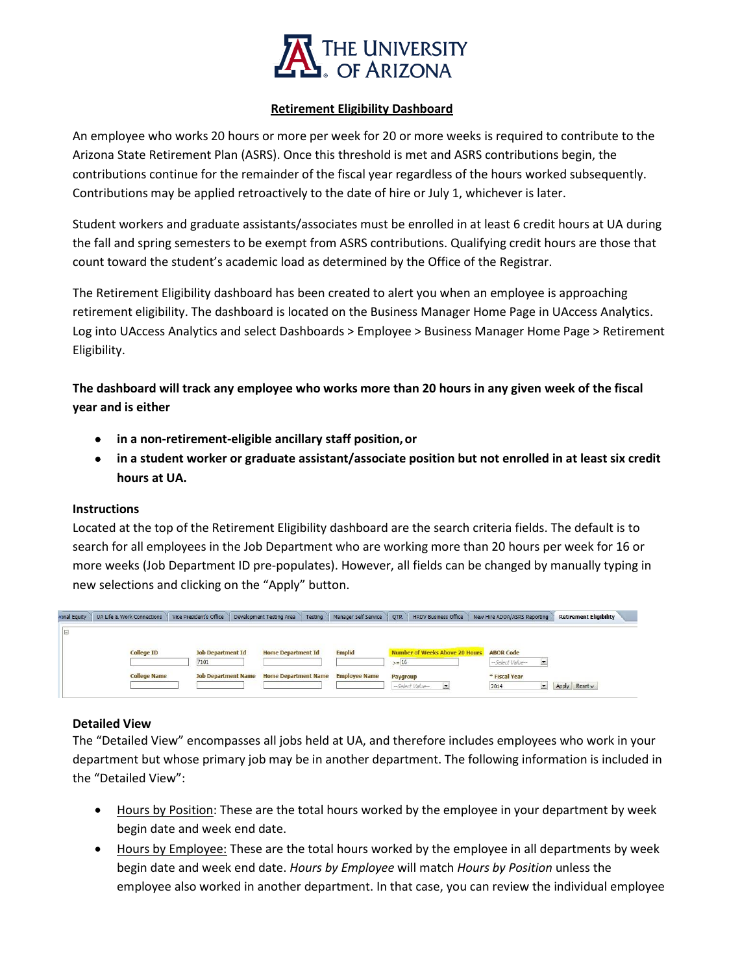

## **Retirement Eligibility Dashboard**

An employee who works 20 hours or more per week for 20 or more weeks is required to contribute to the Arizona State Retirement Plan (ASRS). Once this threshold is met and ASRS contributions begin, the contributions continue for the remainder of the fiscal year regardless of the hours worked subsequently. Contributions may be applied retroactively to the date of hire or July 1, whichever is later.

Student workers and graduate assistants/associates must be enrolled in at least 6 credit hours at UA during the fall and spring semesters to be exempt from ASRS contributions. Qualifying credit hours are those that count toward the student's academic load as determined by the Office of the Registrar.

The Retirement Eligibility dashboard has been created to alert you when an employee is approaching retirement eligibility. The dashboard is located on the Business Manager Home Page in UAccess Analytics. Log into UAccess Analytics and select Dashboards > Employee > Business Manager Home Page > Retirement Eligibility.

**The dashboard will track any employee who works more than 20 hours in any given week of the fiscal year and is either**

- **in a non-retirement-eligible ancillary staff position,or**
- **in a student worker or graduate assistant/associate position but not enrolled in at least six credit hours at UA.**

## **Instructions**

Located at the top of the Retirement Eligibility dashboard are the search criteria fields. The default is to search for all employees in the Job Department who are working more than 20 hours per week for 16 or more weeks (Job Department ID pre-populates). However, all fields can be changed by manually typing in new selections and clicking on the "Apply" button.

| «mal Equity | <b>UA Life &amp; Work Connections</b> | Vice President's Office    | Testing<br>Development Testing Area | Manager Self Service | OTR<br><b>HRDV Business Office</b>    | New Hire ADOA/ASRS Reporting | <b>Retirement Eligibility</b> |  |
|-------------|---------------------------------------|----------------------------|-------------------------------------|----------------------|---------------------------------------|------------------------------|-------------------------------|--|
|             |                                       |                            |                                     |                      |                                       |                              |                               |  |
|             | <b>College ID</b>                     | <b>Job Department Id</b>   | <b>Home Department Id</b>           | <b>Emplid</b>        | <b>Number of Weeks Above 20 Hours</b> | <b>ABOR Code</b>             |                               |  |
|             |                                       | 7101                       |                                     |                      | $>= 16$                               | -Select Value-               |                               |  |
|             | <b>College Name</b>                   | <b>Job Department Name</b> | <b>Home Department Name</b>         | <b>Employee Name</b> | Paygroup                              | * Fiscal Year                |                               |  |
|             |                                       |                            |                                     |                      | -- Select Value-<br>$\overline{z}$    | 2014                         | $Reset \sim$<br>Apply         |  |

## **Detailed View**

The "Detailed View" encompasses all jobs held at UA, and therefore includes employees who work in your department but whose primary job may be in another department. The following information is included in the "Detailed View":

- Hours by Position: These are the total hours worked by the employee in your department by week begin date and week end date.
- Hours by Employee: These are the total hours worked by the employee in all departments by week begin date and week end date. *Hours by Employee* will match *Hours by Position* unless the employee also worked in another department. In that case, you can review the individual employee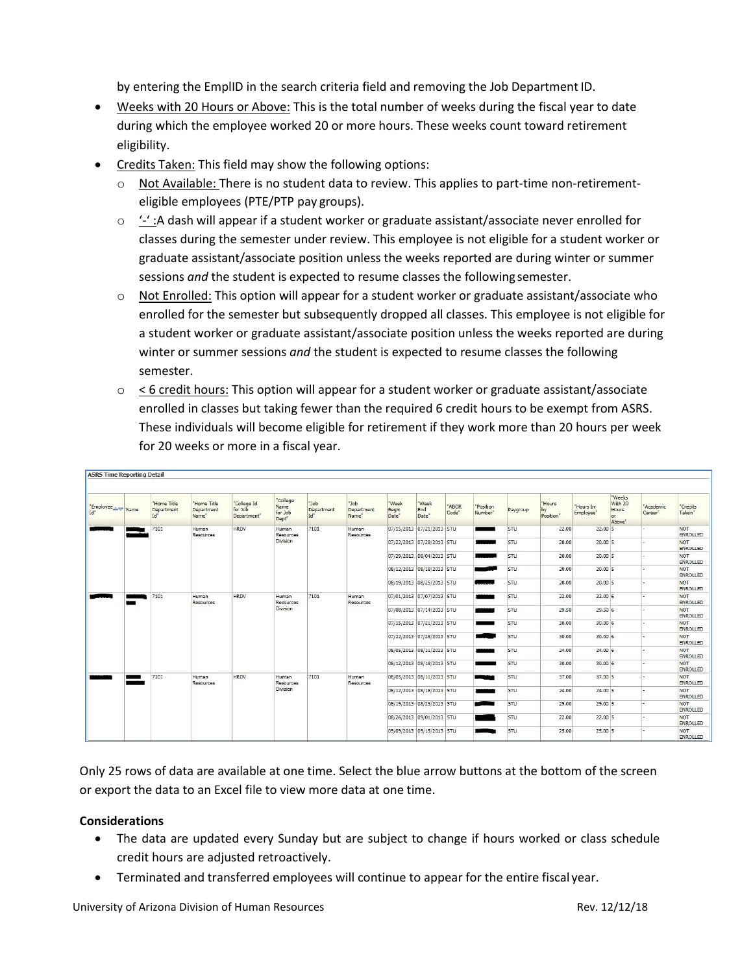by entering the EmplID in the search criteria field and removing the Job Department ID.

- Weeks with 20 Hours or Above: This is the total number of weeks during the fiscal year to date during which the employee worked 20 or more hours. These weeks count toward retirement eligibility.
- Credits Taken: This field may show the following options:
	- $\circ$  Not Available: There is no student data to review. This applies to part-time non-retirementeligible employees (PTE/PTP pay groups).
	- $\circ$  '-' :A dash will appear if a student worker or graduate assistant/associate never enrolled for classes during the semester under review. This employee is not eligible for a student worker or graduate assistant/associate position unless the weeks reported are during winter or summer sessions *and* the student is expected to resume classes the following semester.
	- $\circ$  Not Enrolled: This option will appear for a student worker or graduate assistant/associate who enrolled for the semester but subsequently dropped all classes. This employee is not eligible for a student worker or graduate assistant/associate position unless the weeks reported are during winter or summer sessions *and* the student is expected to resume classes the following semester.
	- $\circ$   $\leq$  6 credit hours: This option will appear for a student worker or graduate assistant/associate enrolled in classes but taking fewer than the required 6 credit hours to be exempt from ASRS. These individuals will become eligible for retirement if they work more than 20 hours per week for 20 weeks or more in a fiscal year.

| Employee <b>AV</b> Name<br>Id" | "Home Title<br>Department<br>Id" | "Home Title<br>Department<br>Name" | "College Id<br>for Job<br>Department" | "College<br>Name<br>for Job<br>Dept"  | "Job<br>Department<br>Id" | dot"<br>Department<br>Name" | "Week<br>Begin<br>Date" | "Week<br>End<br>Date"     | "ABOR<br>Code" | "Position<br>Number" | Paygroup | "Hours<br>by<br>Position" | 'Hours by<br>Employee' | "Weeks<br>With 20<br>Hours<br>or<br>Above" | "Academic<br>Career" | "Credits<br>Taken"            |
|--------------------------------|----------------------------------|------------------------------------|---------------------------------------|---------------------------------------|---------------------------|-----------------------------|-------------------------|---------------------------|----------------|----------------------|----------|---------------------------|------------------------|--------------------------------------------|----------------------|-------------------------------|
|                                | 7101                             | Human<br>Resources                 | <b>HRDV</b>                           | Human<br>Resources<br><b>Division</b> | 7101                      | Human<br>Resources          |                         | 07/15/2013 07/21/2013 STU |                | _                    | STU      | 22.00                     | $22.00$ 5              |                                            |                      | NOT<br><b>ENROLLED</b>        |
|                                |                                  |                                    |                                       |                                       |                           |                             |                         | 07/22/2013 07/28/2013 STU |                | __                   | STU      | 20.00                     | $20.00$ 5              |                                            |                      | <b>NOT</b><br><b>ENROLLED</b> |
|                                |                                  |                                    |                                       |                                       |                           |                             |                         | 07/29/2013 08/04/2013 STU |                |                      | STU      | 20.00                     | $20.00$ 5              |                                            |                      | NOT<br><b>ENROLLED</b>        |
|                                |                                  |                                    |                                       |                                       |                           |                             |                         | 08/12/2013 08/18/2013 STU |                |                      | STU      | 20.00                     | $20.00$ 5              |                                            |                      | NOT<br><b>ENROLLED</b>        |
|                                |                                  |                                    |                                       |                                       |                           |                             |                         | 08/19/2013 08/25/2013 STU |                |                      | STU      | 20.00                     | $20.00$ 5              |                                            |                      | <b>NOT</b><br>ENROLLED        |
|                                | 7101                             | Human<br>Resources                 | <b>HRDV</b>                           | Human<br>Resources<br>Division        | 7101                      | Human<br>Resources          |                         | 07/01/2013 07/07/2013 STU |                |                      | STU      | 22.00                     | 22.006                 |                                            |                      | NOT<br><b>ENROLLED</b>        |
|                                |                                  |                                    |                                       |                                       |                           |                             |                         | 07/08/2013 07/14/2013 STU |                |                      | STU      | 29.50                     | 29.50 6                |                                            |                      | NOT<br><b>ENROLLED</b>        |
|                                |                                  |                                    |                                       |                                       |                           |                             |                         | 07/15/2013 07/21/2013 STU |                |                      | STU      | 30.00                     | 30.006                 |                                            |                      | NOT<br><b>ENROLLED</b>        |
|                                |                                  |                                    |                                       |                                       |                           |                             |                         | 07/22/2013 07/28/2013 STU |                | m.                   | STU      | 30.00                     | 30.006                 |                                            |                      | NOT<br><b>ENROLLED</b>        |
|                                |                                  |                                    |                                       |                                       |                           |                             |                         | 08/05/2013 08/11/2013 STU |                | فقائلا               | STU      | 24.00                     | 24.006                 |                                            |                      | <b>NOT</b><br>ENROLLED        |
|                                |                                  |                                    |                                       |                                       |                           |                             |                         | 08/12/2013 08/18/2013 STU |                |                      | STU      | 30.00                     | 30.006                 |                                            |                      | <b>NOT</b><br><b>ENROLLED</b> |
|                                | 7101                             | Human<br>Resources                 | <b>HRDV</b>                           | Human<br>Resources<br>Division        | 7101                      | Human<br>Resources          |                         | 08/05/2013 08/11/2013 STU |                |                      | STU      | 37.00                     | 37.00 5                |                                            |                      | NOT<br><b>ENROLLED</b>        |
|                                |                                  |                                    |                                       |                                       |                           |                             |                         | 08/12/2013 08/18/2013 STU |                |                      | STU      | 24.00                     | $24.00$ 5              |                                            |                      | <b>NOT</b><br>ENROLLED        |
|                                |                                  |                                    |                                       |                                       |                           |                             |                         | 08/19/2013 08/25/2013 STU |                |                      | STU      | 29.00                     | $29.00$ 5              |                                            |                      | NOT<br>ENROLLED               |
|                                |                                  |                                    |                                       |                                       |                           |                             |                         | 08/26/2013 09/01/2013 STU |                |                      | STU      | 22.00                     | $22.00$ 5              |                                            |                      | NOT<br><b>ENROLLED</b>        |
|                                |                                  |                                    |                                       |                                       |                           |                             |                         | 09/09/2013 09/15/2013 STU |                |                      | STU      | 25.00                     | $25.00$ 5              |                                            |                      | NOT<br>ENROLLED               |

Only 25 rows of data are available at one time. Select the blue arrow buttons at the bottom of the screen or export the data to an Excel file to view more data at one time.

## **Considerations**

- The data are updated every Sunday but are subject to change if hours worked or class schedule credit hours are adjusted retroactively.
- Terminated and transferred employees will continue to appear for the entire fiscal year.